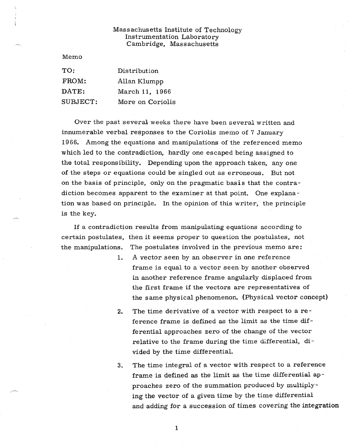## Massachusetts Institute of Technology Instrumentation Laboratory Cambridge, Massachusetts

Memo

| $\mathrm{TO:}$ | Distribution     |
|----------------|------------------|
| FROM:          | Allan Klumpp     |
| DATE:          | March 11, 1966   |
| SUBJECT:       | More on Coriolis |

Over the past several weeks there have been several written and innumerable verbal responses to the Coriolis memo of 7 January 1966. Among the equations and manipulations of the referenced memo which led to the contradiction, hardly one escaped being assigned to the total responsibility. Depending upon the approach taken, any one of the steps or equations could be singled out as erroneous. But not on the basis of principle, only on the pragmatic basis that the contradiction becomes apparent to the examiner at that point. One explanation was based on principle. In the opinion of this writer, the principle is the key.

If a contradiction results from manipulating equations according to certain postulates, then it seems proper to question the postulates, not the manipulations. The postulates involved in the previous memo are:

- 1. A vector seen by an observer in one reference frame is equal to a vector seen by another observed in another reference frame angularly displaced from the first frame if the vectors are representatives of the same physical phenomenon. (Physical vector concept)
- 2. The time derivative of a vector with respect to a reference frame is defined as the limit as the time differential approaches zero of the change of the vector relative to the frame during the time differential, divided by the time differential.
- 3. The time integral of a vector with respect to a reference frame is defined as the limit as the time differential approaches zero of the summation produced by multiplying the vector of a given time by the time differential and adding for a succession of times covering the integration

 $\mathbf{1}$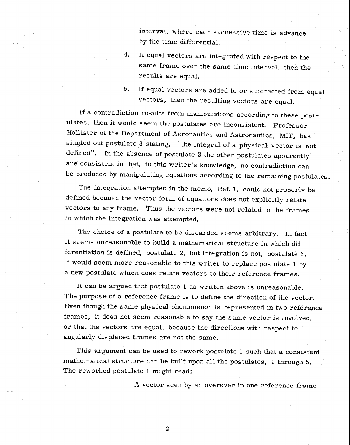interval, where each successive time is advance by the time differential.

- 4. If equal vectors are integrated with respect to the same frame over the same time interval, then the results are equal.
- 5. If equal vectors are added to or subtracted from equal vectors, then the resulting vectors are equal.

If a contradiction results from manipulations according to these postulates, then it would seem the postulates are inconsistent. Professor Hollister of the Department of Aeronautics and Astronautics, MIT, has singled out postulate 3 stating, " the integral of a physical vector is not defined". In the absence of postulate 3 the other postulates apparently are consistent in that, to this writer's knowledge, no contradiction can be produced by manipulating equations according to the remaining postulates.

The integration attempted in the memo, Ref. 1, could not properly be defined because the vector form of equations does not explicitly relate vectors to any frame. Thus the vectors were not related to the frames in which the integration was attempted.

The choice of a postulate to be discarded seems arbitrary. In fact it seems unreasonable to build a mathematical structure in which differentiation is defined, postulate 2, but integration is not, postulate 3. It would seem more reasonable to this writer to replace postulate 1 by a new postulate which does relate vectors to their reference frames.

It can be argued that postulate 1 as written above is unreasonable. The purpose of a reference frame is to define the direction of the vector. Even though the same physical phenomenon is represented in two reference frames, it does not seem reasonable to say the same vector is involved, or that the vectors are equal, because the directions with respect to angularly displaced frames are not the same.

This argument can be used to rework postulate 1 such that a consistent mathematical structure can be built upon all the postulates, 1 through 5. The reworked postulate 1 might read:

A vector seen by an oversver in one reference frame

 $\overline{2}$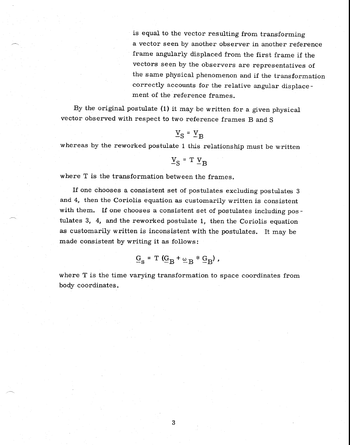is equal to the vector resulting from transforming a vector seen by another observer in another reference frame angularly displaced from the first frame if the vectors seen by the observers are representatives of the same physical phenomenon and if the transformation correctly accounts for the relative angular displacement of the reference frames.

By the original postulate (1) it may be written for a given physical vector observed with respect to two reference frames B and S

## $V_S = V_B$

whereas by the reworked postulate 1 this relationship must be written

$$
\underline{v}_{S} = T \underline{v}_{B}
$$

where T is the transformation between the frames.

If one chooses a consistent set of postulates excluding postulates 3 and 4, then the Coriolis equation as customarily written is consistent with them. If one chooses a consistent set of postulates including pos tulates 3, 4, and the reworked postulate 1, then the Coriolis equation as customarily written is inconsistent with the postulates. It may be made consistent by writing it as follows:

$$
\underline{G}_{S} = T \left( \underline{G}_{B} + \underline{\omega}_{B} * \underline{G}_{B} \right),
$$

where T is the time varying transformation to space coordinates from body coordinates.